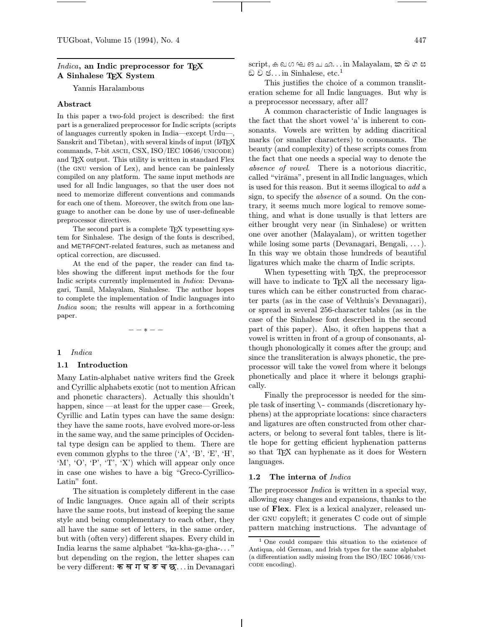### Indica, an Indic preprocessor for T<sub>F</sub>X A Sinhalese TEX System

Yannis Haralambous

### Abstract

In this paper a two-fold project is described: the first part is a generalized preprocessor for Indic scripts (scripts of languages currently spoken in India—except Urdu—, Sanskrit and Tibetan), with several kinds of input (LATEX commands, 7-bit ascii, CSX, ISO/IEC 10646/unicode) and TEX output. This utility is written in standard Flex (the gnu version of Lex), and hence can be painlessly compiled on any platform. The same input methods are used for all Indic languages, so that the user does not need to memorize different conventions and commands for each one of them. Moreover, the switch from one language to another can be done by use of user-defineable preprocessor directives.

The second part is a complete TEX typesetting system for Sinhalese. The design of the fonts is described, and METAFONT-related features, such as metaness and optical correction, are discussed.

At the end of the paper, the reader can find tables showing the different input methods for the four Indic scripts currently implemented in Indica: Devanagari, Tamil, Malayalam, Sinhalese. The author hopes to complete the implementation of Indic languages into Indica soon; the results will appear in a forthcoming paper.

−−∗−−

### 1 Indica

### 1.1 Introduction

Many Latin-alphabet native writers find the Greek and Cyrillic alphabets exotic (not to mention African and phonetic characters). Actually this shouldn't happen, since —at least for the upper case— Greek, Cyrillic and Latin types can have the same design: they have the same roots, have evolved more-or-less in the same way, and the same principles of Occidental type design can be applied to them. There are even common glyphs to the three ('A', 'B', 'E', 'H', 'M', 'O', 'P', 'T', 'X') which will appear only once in case one wishes to have a big "Greco-Cyrillico-Latin" font.

The situation is completely different in the case of Indic languages. Once again all of their scripts have the same roots, but instead of keeping the same style and being complementary to each other, they all have the same set of letters, in the same order, but with (often very) different shapes. Every child in India learns the same alphabet "ka-kha-ga-gha-. . . " but depending on the region, the letter shapes can be very different: क ख ग घ ङ च छ... in Devanagari

 $\mathrm{script},$  ക ഖഗഘങചഛ $\ldots$ in Malayalam, ක ඛ ග ඝ ඩ ව ඡ $\dots$ in Sinhalese, etc. $^1$ 

This justifies the choice of a common transliteration scheme for all Indic languages. But why is a preprocessor necessary, after all?

A common characteristic of Indic languages is the fact that the short vowel 'a' is inherent to consonants. Vowels are written by adding diacritical marks (or smaller characters) to consonants. The beauty (and complexity) of these scripts comes from the fact that one needs a special way to denote the absence of vowel. There is a notorious diacritic, called "virāma", present in all Indic languages, which is used for this reason. But it seems illogical to add a sign, to specify the absence of a sound. On the contrary, it seems much more logical to remove something, and what is done usually is that letters are either brought very near (in Sinhalese) or written one over another (Malayalam), or written together while losing some parts (Devanagari, Bengali, . . . ). In this way we obtain those hundreds of beautiful ligatures which make the charm of Indic scripts.

When typesetting with TEX, the preprocessor will have to indicate to T<sub>EX</sub> all the necessary ligatures which can be either constructed from character parts (as in the case of Velthuis's Devanagari), or spread in several 256-character tables (as in the case of the Sinhalese font described in the second part of this paper). Also, it often happens that a vowel is written in front of a group of consonants, although phonologically it comes after the group; and since the transliteration is always phonetic, the preprocessor will take the vowel from where it belongs phonetically and place it where it belongs graphically.

Finally the preprocessor is needed for the simple task of inserting \- commands (discretionary hyphens) at the appropriate locations: since characters and ligatures are often constructed from other characters, or belong to several font tables, there is little hope for getting efficient hyphenation patterns so that TEX can hyphenate as it does for Western languages.

### 1.2 The interna of *Indica*

The preprocessor *Indica* is written in a special way, allowing easy changes and expansions, thanks to the use of Flex. Flex is a lexical analyzer, released under gnu copyleft; it generates C code out of simple pattern matching instructions. The advantage of

<sup>1</sup> One could compare this situation to the existence of Antiqua, old German, and Irish types for the same alphabet (a differentiation sadly missing from the ISO/IEC  $10646$ /UNI-CODE encoding).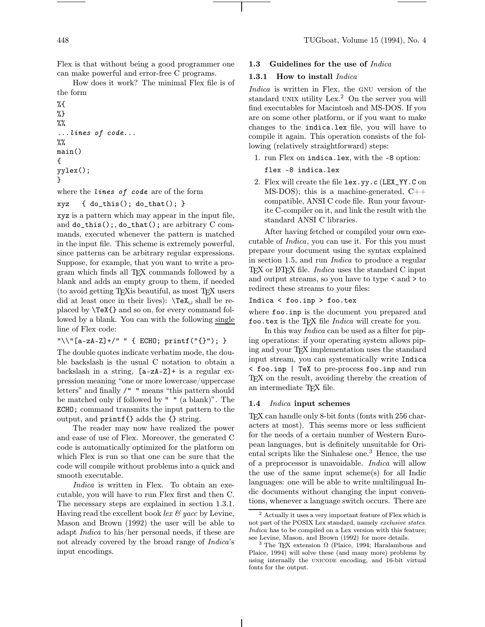Flex is that without being a good programmer one can make powerful and error-free C programs.

How does it work? The minimal Flex file is of the form

```
%{
%}
\%%
...lines of code...
%%
main()
{
yylex();
}
```
where the *lines* of code are of the form

xyz { do\_this(); do\_that(); }

xyz is a pattern which may appear in the input file, and do\_this();, do\_that(); are arbitrary C commands, executed whenever the pattern is matched in the input file. This scheme is extremely powerful, since patterns can be arbitrary regular expressions. Suppose, for example, that you want to write a program which finds all TEX commands followed by a blank and adds an empty group to them, if needed (to avoid getting TEXis beautiful, as most TEX users did at least once in their lives):  $\text{TeX}_\sqcup$  shall be replaced by \TeX{} and so on, for every command followed by a blank. You can with the following single line of Flex code:

```
"\\\{\n}''[a-zA-Z]+/" " { ECHO; printf("{}"); }
```
The double quotes indicate verbatim mode, the double backslash is the usual C notation to obtain a backslash in a string,  $[a-zA-Z]+$  is a regular expression meaning "one or more lowercase/uppercase letters" and finally /" " means "this pattern should be matched only if followed by " " (a blank)". The ECHO; command transmits the input pattern to the output, and printf{} adds the {} string.

The reader may now have realized the power and ease of use of Flex. Moreover, the generated C code is automatically optimized for the platform on which Flex is run so that one can be sure that the code will compile without problems into a quick and smooth executable.

Indica is written in Flex. To obtain an executable, you will have to run Flex first and then C. The necessary steps are explained in section 1.3.1. Having read the excellent book lex  $\mathcal C$  yacc by Levine, Mason and Brown (1992) the user will be able to adapt Indica to his/her personal needs, if these are not already covered by the broad range of Indica's input encodings.

### 1.3 Guidelines for the use of Indica

### 1.3.1 How to install *Indica*

Indica is written in Flex, the GNU version of the standard UNIX utility  $Lex<sup>2</sup>$  On the server you will find executables for Macintosh and MS-DOS. If you are on some other platform, or if you want to make changes to the indica.lex file, you will have to compile it again. This operation consists of the following (relatively straightforward) steps:

1. run Flex on indica.lex, with the -8 option:

### flex -8 indica.lex

2. Flex will create the file lex.yy.c (LEX\_YY.C on MS-DOS); this is a machine-generated,  $C++$ compatible, ANSI C code file. Run your favourite C-compiler on it, and link the result with the standard ANSI C libraries.

After having fetched or compiled your own executable of Indica, you can use it. For this you must prepare your document using the syntax explained in section 1.5, and run Indica to produce a regular TEX or LATEX file. *Indica* uses the standard C input and output streams, so you have to type < and > to redirect these streams to your files:

### Indica < foo.inp > foo.tex

where foo.inp is the document you prepared and foo.tex is the TFX file  $Indiaca$  will create for you.

In this way Indica can be used as a filter for piping operations: if your operating system allows piping and your T<sub>E</sub>X implementation uses the standard input stream, you can systematically write Indica < foo.inp | TeX to pre-process foo.inp and run T<sub>EX</sub> on the result, avoiding thereby the creation of an intermediate TEX file.

### 1.4 Indica input schemes

TEX can handle only 8-bit fonts (fonts with 256 characters at most). This seems more or less sufficient for the needs of a certain number of Western European languages, but is definitely unsuitable for Oriental scripts like the Sinhalese one.<sup>3</sup> Hence, the use of a preprocessor is unavoidable. Indica will allow the use of the same input scheme(s) for all Indic languages: one will be able to write multilingual Indic documents without changing the input conventions, whenever a language switch occurs. There are

 $^2$  Actually it uses a very important feature of Flex which is not part of the POSIX Lex standard, namely exclusive states. Indica has to be compiled on a Lex version with this feature; see Levine, Mason, and Brown (1992) for more details.

<sup>&</sup>lt;sup>3</sup> The TEX extension  $\Omega$  (Plaice, 1994; Haralambous and Plaice, 1994) will solve these (and many more) problems by using internally the UNICODE encoding, and 16-bit virtual fonts for the output.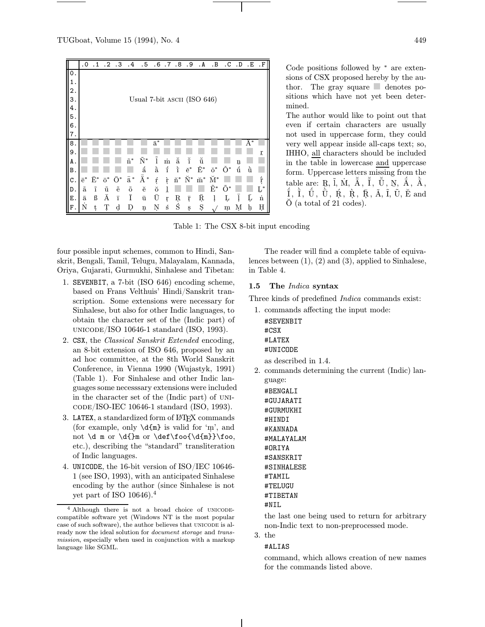

Code positions followed by <sup>∗</sup> are extensions of CSX proposed hereby by the author. The gray square  $\Box$  denotes positions which have not yet been determined.

The author would like to point out that even if certain characters are usually not used in uppercase form, they could very well appear inside all-caps text; so, IHHO, all characters should be included in the table in lowercase and uppercase form. Uppercase letters missing from the table are:  $R, \tilde{I}, \dot{M}, \tilde{A}, \tilde{I}, \tilde{U}, \dot{N}, \dot{A}, \dot{A}, \dot{A}, \dot{A}$  $\tilde{I}$ ,  $\tilde{I}$ ,  $\tilde{U}$ ,  $\tilde{U}$ ,  $\tilde{U}$ ,  $\tilde{R}$ ,  $\tilde{R}$ ,  $\tilde{R}$ ,  $\tilde{A}$ ,  $\tilde{I}$ ,  $\tilde{U}$ ,  $\tilde{E}$  and  $\check{O}$  (a total of 21 codes).

Table 1: The CSX 8-bit input encoding

four possible input schemes, common to Hindi, Sanskrit, Bengali, Tamil, Telugu, Malayalam, Kannada, Oriya, Gujarati, Gurmukhi, Sinhalese and Tibetan:

- 1. SEVENBIT, a 7-bit (ISO 646) encoding scheme, based on Frans Velthuis' Hindi/Sanskrit transcription. Some extensions were necessary for Sinhalese, but also for other Indic languages, to obtain the character set of the (Indic part) of unicode/ISO 10646-1 standard (ISO, 1993).
- 2. CSX, the Classical Sanskrit Extended encoding, an 8-bit extension of ISO 646, proposed by an ad hoc committee, at the 8th World Sanskrit Conference, in Vienna 1990 (Wujastyk, 1991) (Table 1). For Sinhalese and other Indic languages some necesssary extensions were included in the character set of the (Indic part) of UNIcode/ISO-IEC 10646-1 standard (ISO, 1993).
- 3. LATEX, a standardized form of L<sup>AT</sup>FX commands (for example, only  $\d{m}$  is valid for 'm', and not  $\d$  m or  $\d$ foo  $\d$ foo{ $\d$ {m}} $\$ oo, etc.), describing the "standard" transliteration of Indic languages.
- 4. UNICODE, the 16-bit version of ISO/IEC 10646- 1 (see ISO, 1993), with an anticipated Sinhalese encoding by the author (since Sinhalese is not yet part of ISO 10646).<sup>4</sup>

The reader will find a complete table of equivalences between (1), (2) and (3), applied to Sinhalese, in Table 4.

# 1.5 The Indica syntax

Three kinds of predefined *Indica* commands exist:

| 1. commands affecting the input mode: |
|---------------------------------------|
| #SEVENBIT                             |
| $\#$ CSX                              |
| #LATEX                                |
| #UNICODE                              |
| as described in 1.4.                  |

2. commands determining the current (Indic) language:

#BENGALI #GUJARATI #GURMUKHI #HINDI #KANNADA #MALAYALAM #ORIYA #SANSKRIT #SINHALESE #TAMIL #TELUGU #TIBETAN #NIL

the last one being used to return for arbitrary non-Indic text to non-preprocessed mode.

3. the

### #ALIAS

command, which allows creation of new names for the commands listed above.

<sup>&</sup>lt;sup>4</sup> Although there is not a broad choice of UNICODEcompatible software yet (Windows NT is the most popular case of such software), the author believes that UNICODE is already now the ideal solution for document storage and transmission, especially when used in conjunction with a markup language like SGML.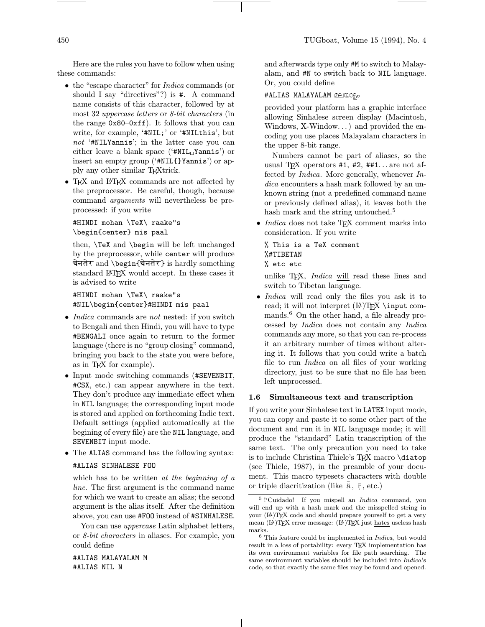Here are the rules you have to follow when using these commands:

- the "escape character" for *Indica* commands (or should I say "directives"?) is #. A command name consists of this character, followed by at most 32 uppercase letters or 8-bit characters (in the range 0x80–0xff). It follows that you can write, for example, '#NIL;' or '#NILthis', but not '#NILYannis'; in the latter case you can either leave a blank space ('#NIL $_{\sqcup}$ Yannis') or insert an empty group ('#NIL{}Yannis') or apply any other similar TEXtrick.
- T<sub>F</sub>X and L<sup>AT</sup>FX commands are not affected by the preprocessor. Be careful, though, because command arguments will nevertheless be preprocessed: if you write

#HINDI mohan \TeX\ raake"s \begin{center} mis paal

then, \TeX and \begin will be left unchanged by the preprocessor, while center will produce चेनतेर and \begin{चेनतेर} is hardly something standard L<sup>A</sup>TEX would accept. In these cases it is advised to write

#HINDI mohan \TeX\ raake"s #NIL\begin{center}#HINDI mis paal

- *Indica* commands are *not* nested: if you switch to Bengali and then Hindi, you will have to type #BENGALI once again to return to the former language (there is no "group closing" command, bringing you back to the state you were before, as in T<sub>E</sub>X for example).
- Input mode switching commands (#SEVENBIT, #CSX, etc.) can appear anywhere in the text. They don't produce any immediate effect when in NIL language; the corresponding input mode is stored and applied on forthcoming Indic text. Default settings (applied automatically at the begining of every file) are the NIL language, and SEVENBIT input mode.
- The ALIAS command has the following syntax: #ALIAS SINHALESE FOO

which has to be written at the beginning of a line. The first argument is the command name for which we want to create an alias; the second argument is the alias itself. After the definition above, you can use #FOO instead of #SINHALESE.

You can use *uppercase* Latin alphabet letters, or 8-bit characters in aliases. For example, you could define

#ALIAS MALAYALAM M #ALIAS NIL N

and afterwards type only #M to switch to Malayalam, and #N to switch back to NIL language. Or, you could define

### #ALIAS MALAYALAM മലയാളം

provided your platform has a graphic interface allowing Sinhalese screen display (Macintosh, Windows, X-Window. . . ) and provided the encoding you use places Malayalam characters in the upper 8-bit range.

Numbers cannot be part of aliases, so the usual T<sub>F</sub>X operators  $#1, #2, ##1...$  are not affected by Indica. More generally, whenever Indica encounters a hash mark followed by an unknown string (not a predefined command name or previously defined alias), it leaves both the hash mark and the string untouched.<sup>5</sup>

• *Indica* does not take T<sub>E</sub>X comment marks into consideration. If you write

# % This is a TeX comment %#TIBETAN

% etc etc

unlike T<sub>E</sub>X, *Indica* will read these lines and switch to Tibetan language.

• Indica will read only the files you ask it to read; it will not interpret  $(\mathbb{A})$ TEX \input commands.<sup>6</sup> On the other hand, a file already processed by Indica does not contain any Indica commands any more, so that you can re-process it an arbitrary number of times without altering it. It follows that you could write a batch file to run Indica on all files of your working directory, just to be sure that no file has been left unprocessed.

### 1.6 Simultaneous text and transcription

If you write your Sinhalese text in LATEX input mode, you can copy and paste it to some other part of the document and run it in NIL language mode; it will produce the "standard" Latin transcription of the same text. The only precaution you need to take is to include Christina Thiele's TFX macro \diatop (see Thiele, 1987), in the preamble of your document. This macro typesets characters with double or triple diacritization (like  $\bar{a}$ ,  $\bar{r}$ , etc.)

<sup>&</sup>lt;sup>5</sup>!'Cuidado! If you mispell an *Indica* command, you will end up with a hash mark and the misspelled string in your (L<sup>A</sup>)TEX code and should prepare yourself to get a very mean  $(L)$ TEX error message:  $(L)$ TEX just hates useless hash marks.

 $6$  This feature could be implemented in *Indica*, but would result in a loss of portability: every TEX implementation has its own environment variables for file path searching. The same environment variables should be included into Indica's code, so that exactly the same files may be found and opened.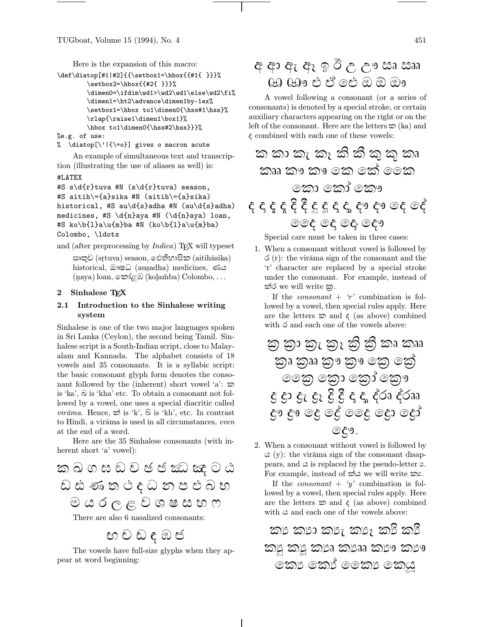Here is the expansion of this macro:

```
\def\diatop[#1|#2]{{\setbox1=\hbox{{#1{ }}}%
        \setbox2=\hbox{{#2{ }}}%
        \dimen0=\ifdim\wd1>\wd2\wd1\else\wd2\fi%
        \dimen1=\ht2\advance\dimen1by-1ex%
        \setbox1=\hbox to1\dimen0{\hss#1\hss}%
        \rlap{\raise1\dimen1\box1}%
        \hbox to1\dimen0{\hss#2\hss}}}%
```

```
%e.g. of use:
```
% \diatop[\'|{\=o}] gives o macron acute

An example of simultaneous text and transcription (illustrating the use of aliases as well) is:

# #LATEX

```
#S s\d{r}tuva #N (s\d{r}tuva) season,
#S aitih\={a}sika #N (aitih\={a}sika)
historical, #S au\d{s}adha #N (au\d{s}adha)
medicines, #S \d{n}aya #N (\d{n}aya) loan,
#S ko\b{l}a\u{m}ba #N (ko\b{l}a\u{m}ba)
Colombo, \ldots
```
and (after preprocessing by *Indica*) T<sub>E</sub>X will typeset සෘතුව (sṛtuva) season, ඓතිහාසික (aitihāsika) historical, ඖෂධ (ausadha) medicines, ණය  $(\text{paya})$  loan, නෝළඹ  $(\text{kolamba})$  Colombo,  $\ldots$ 

### 2 Sinhalese T<sub>E</sub>X

# 2.1 Introduction to the Sinhalese writing system

Sinhalese is one of the two major languages spoken in Sri Lanka (Ceylon), the second being Tamil. Sinhalese script is a South-Indian script, close to Malayalam and Kannada. The alphabet consists of 18 vowels and 35 consonants. It is a syllabic script: the basic consonant glyph form denotes the consonant followed by the (inherent) short vowel 'a':  $\infty$ is 'ka',  $\widehat{\omega}$  is 'kha' etc. To obtain a consonant not followed by a vowel, one uses a special diacritic called *virāma*. Hence,  $\hat{\infty}$  is 'k',  $\hat{\infty}$  is 'kh', etc. In contrast to Hindi, a virāma is used in all circumstances, even at the end of a word.

Here are the 35 Sinhalese consonants (with inherent short 'a' vowel):

| ක බ ග ඝ ඩ ව ඡ ජ ඣ ඤ ට ඨ |
|-------------------------|
| ඩ ඪ ණ ත ථ ද ධ න ප ඵ බ හ |
| $\Theta$ යරලළ වශෂසහ ෆ   |
|                         |

There are also 6 nasalized consonants:

 ${\mathfrak s}$  ව ඩ ද ඹ ජ

The vowels have full-size glyphs when they appear at word beginning:

# අ ආ ඇ ඇ ඉ ඊ උ ඌ ඎ ඎ යා යා එ ඒ ජේ යා ඔ ඔඉ

A vowel following a consonant (or a series of consonants) is denoted by a special stroke, or certain auxiliary characters appearing on the right or on the left of the consonant. Here are the letters  $\infty$  (ka) and  $\epsilon$  combined with each one of these vowels:

<sup>H</sup> H H <sup>H</sup> <sup>I</sup> <sup>J</sup> <sup>K</sup> <sup>L</sup> H ¡ £ ¢

Special care must be taken in three cases:

1. When a consonant without vowel is followed by  $\circ$  (r): the virāma sign of the consonant and the 'r' character are replaced by a special stroke under the consonant. For example, instead of ක්ර we will write කු.

If the *consonant* +  $'r'$  combination is followed by a vowel, then special rules apply. Here are the letters  $\infty$  and  $\xi$  (as above) combined with  $\circ$  and each one of the vowels above:

$$
\begin{array}{cccc}\n\textcircled{2} & \textcircled{3} & \textcircled{2} & \textcircled{3} & \textcircled{4} & \textcircled{5} & \textcircled{5} & \textcircled{5} \\
\textcircled{3} & \textcircled{3} & \textcircled{3} & \textcircled{3} & \textcircled{3} & \textcircled{3} & \textcircled{6} \\
\textcircled{3} & \textcircled{3} & \textcircled{3} & \textcircled{3} & \textcircled{3} & \textcircled{3} & \textcircled{7} \\
\textcircled{4} & \textcircled{5} & \textcircled{6} & \textcircled{6} & \textcircled{6} & \textcircled{6} & \textcircled{6} & \textcircled{6} & \textcircled{6} \\
\textcircled{6} & \textcircled{7} & \textcircled{8} & \textcircled{6} & \textcircled{6} & \textcircled{6} & \textcircled{6} & \textcircled{6} & \textcircled{6} \\
\textcircled{7} & \textcircled{8} & \textcircled{9} & \textcircled{9} & \textcircled{9} & \textcircled{9} & \textcircled{7} & \textcircled{8}\n\end{array}
$$

2. When a consonant without vowel is followed by  $\varphi(y)$ : the virāma sign of the consonant disappears, and  $\infty$  is replaced by the pseudo-letter  $\beta$ . For example, instead of  $\hat{\infty}$  we will write  $\hat{\infty}$ .

If the *consonant* + 'y' combination is followed by a vowel, then special rules apply. Here are the letters  $\infty$  and  $\xi$  (as above) combined with  $\infty$  and each one of the vowels above:

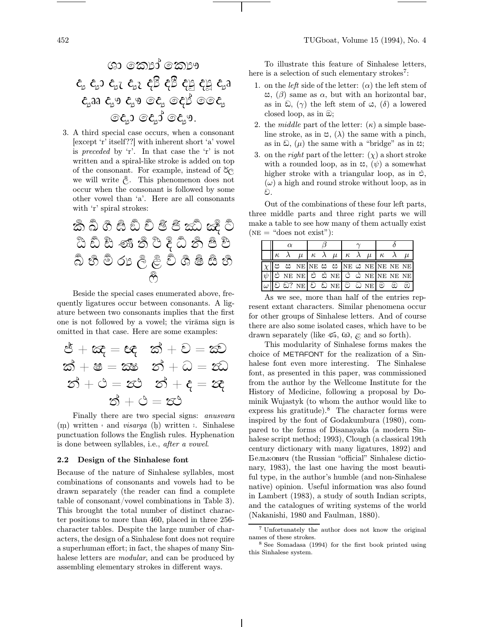$$
\begin{array}{ccccccc}\n & & & & & & \\
\mathbf{c}_1 & \mathbf{c}_2 & \mathbf{c}_3 & \mathbf{c}_3 & \mathbf{c}_2 & \mathbf{c}_3 & \mathbf{c}_3 & \mathbf{c}_3 & \mathbf{c}_3 & \mathbf{c}_3 & \mathbf{c}_2 & \mathbf{c}_3 & \mathbf{c}_2 & \mathbf{c}_2 & \mathbf{c}_2 & \mathbf{c}_2 & \mathbf{c}_2 & \mathbf{c}_2 & \mathbf{c}_2 & \mathbf{c}_2 & \mathbf{c}_2 & \mathbf{c}_3 & \mathbf{c}_3 & \mathbf{c}_3 & \mathbf{c}_3 & \mathbf{c}_3 & \mathbf{c}_3 & \mathbf{c}_3 & \mathbf{c}_3 & \mathbf{c}_3 & \mathbf{c}_3 & \mathbf{c}_3 & \mathbf{c}_3 & \mathbf{c}_3 & \mathbf{c}_3 & \mathbf{c}_3 & \mathbf{c}_3 & \mathbf{c}_3 & \mathbf{c}_3 & \mathbf{c}_3 & \mathbf{c}_3 & \mathbf{c}_3 & \mathbf{c}_3 & \mathbf{c}_3 & \mathbf{c}_3 & \mathbf{c}_3 & \mathbf{c}_3 & \mathbf{c}_3 & \mathbf{c}_3 & \mathbf{c}_3 & \mathbf{c}_3 & \mathbf{c}_3 & \mathbf{c}_3 & \mathbf{c}_3 & \mathbf{c}_3 & \mathbf{c}_3 & \mathbf{c}_3 & \mathbf{c}_3 & \mathbf{c}_3 & \mathbf{c}_3 & \mathbf{c}_3 & \mathbf{c}_3 & \mathbf{c}_3 & \mathbf{c}_3 & \mathbf{c}_3 & \mathbf{c}_3 & \mathbf{c}_3 & \mathbf{c}_3 & \mathbf{c}_3 & \mathbf{c}_3 & \mathbf{c}_3 & \mathbf{c}_3 & \mathbf{c}_3 & \math
$$

3. A third special case occurs, when a consonant [except 'r' itself??] with inherent short 'a' vowel is preceded by 'r'. In that case the 'r' is not written and a spiral-like stroke is added on top of the consonant. For example, instead of  $\delta_{\mathcal{C}}$ we will write  $\hat{\mathbb{R}}$ . This phenomenon does not occur when the consonant is followed by some other vowel than 'a'. Here are all consonants with 'r' spiral strokes:

<sup>N</sup> <sup>V</sup> ^ <sup>f</sup> <sup>n</sup> <sup>v</sup> <sup>~</sup> ¦ ® ¶ <sup>¾</sup> <sup>Æ</sup> ¤ <sup>Î</sup> <sup>Ö</sup> <sup>Þ</sup> <sup>æ</sup> <sup>î</sup> <sup>ö</sup> <sup>þ</sup> È & <sup>V</sup> . <sup>6</sup> <sup>&</sup>gt; <sup>F</sup> <sup>N</sup>

<sup>Ö</sup>

Beside the special cases enumerated above, frequently ligatures occur between consonants. A ligature between two consonants implies that the first one is not followed by a vowel; the virāma sign is omitted in that case. Here are some examples:

$$
\mathcal{E} + \mathbf{\alpha}\mathbf{\hat{c}} = \mathbf{\hat{c}}\mathbf{\hat{c}} \quad \mathbf{\hat{c}}\mathbf{\hat{d}} + \mathbf{\hat{c}} = \mathbf{\hat{c}}\mathbf{\hat{c}}
$$
\n
$$
\mathbf{\hat{c}}\mathbf{\hat{d}} + \mathbf{\hat{c}} = \mathbf{\hat{c}}\mathbf{\hat{c}} \quad \mathbf{\hat{c}}\mathbf{\hat{d}} + \mathbf{\hat{c}} = \mathbf{\hat{c}}\mathbf{\hat{c}}
$$
\n
$$
\mathbf{\hat{c}}\mathbf{\hat{d}} + \mathbf{\hat{c}} = \mathbf{\hat{c}}\mathbf{\hat{c}} \quad \mathbf{\hat{c}}\mathbf{\hat{d}} + \mathbf{\hat{c}} = \mathbf{\hat{c}}\mathbf{\hat{c}}
$$
\n
$$
\mathbf{\hat{c}}\mathbf{\hat{d}} + \mathbf{\hat{c}} = \mathbf{\hat{c}}\mathbf{\hat{c}}
$$

Finally there are two special signs: anusvara (m) written and *visarga* (h) written  $\in$  Sinhalese punctuation follows the English rules. Hyphenation is done between syllables, i.e., after a vowel.

# 2.2 Design of the Sinhalese font

Because of the nature of Sinhalese syllables, most combinations of consonants and vowels had to be drawn separately (the reader can find a complete table of consonant/vowel combinations in Table 3). This brought the total number of distinct character positions to more than 460, placed in three 256 character tables. Despite the large number of characters, the design of a Sinhalese font does not require a superhuman effort; in fact, the shapes of many Sinhalese letters are *modular*, and can be produced by assembling elementary strokes in different ways.

To illustrate this feature of Sinhalese letters, here is a selection of such elementary strokes<sup>7</sup>:

- 1. on the *left* side of the letter:  $(\alpha)$  the left stem of , (β) same as α, but with an horizontal bar, as in  $\hat{\omega}$ ,  $(\gamma)$  the left stem of  $\hat{\omega}$ ,  $(\delta)$  a lowered closed loop, as in  $\mathcal{D}$ ;
- 2. the *middle* part of the letter:  $(\kappa)$  a simple baseline stroke, as in  $\mathfrak{S}$ ,  $(\lambda)$  the same with a pinch, as in  $\Omega$ ,  $(\mu)$  the same with a "bridge" as in  $\infty$ ;
- 3. on the *right* part of the letter:  $(\chi)$  a short stroke with a rounded loop, as in  $\infty$ ,  $(\psi)$  a somewhat higher stroke with a triangular loop, as in  $\mathfrak{S}$ ,  $(\omega)$  a high and round stroke without loop, as in ව.

Out of the combinations of these four left parts, three middle parts and three right parts we will make a table to see how many of them actually exist  $(NE = "does not exist")$ :

|  |  |                                                                          |  |  | $\mu \mid \kappa \mid \lambda \mid \mu \mid \kappa \mid \lambda \mid \mu \mid \kappa \mid \lambda$ |  |  |  |  |  |   |
|--|--|--------------------------------------------------------------------------|--|--|----------------------------------------------------------------------------------------------------|--|--|--|--|--|---|
|  |  | $\parallel$ ප ස NE NE ස ස NE ය NE NE NE NE NE                            |  |  |                                                                                                    |  |  |  |  |  |   |
|  |  | $\mathbb{R}^3$ Ne Ne $\mathbb{C}^3$ & Ne $\mathbb{C}^3$ & Ne Ne Ne Ne Ne |  |  |                                                                                                    |  |  |  |  |  |   |
|  |  | $\parallel$ වඩ? NE $\parallel$ වඩ NE $\parallel$ ටධ NE $\parallel$ ම ඔ   |  |  |                                                                                                    |  |  |  |  |  | @ |

As we see, more than half of the entries represent extant characters. Similar phenomena occur for other groups of Sinhalese letters. And of course there are also some isolated cases, which have to be drawn separately (like  $\mathfrak{S}, \mathfrak{B}, \mathfrak{E}$  and so forth).

This modularity of Sinhalese forms makes the choice of METAFONT for the realization of a Sinhalese font even more interesting. The Sinhalese font, as presented in this paper, was commissioned from the author by the Wellcome Institute for the History of Medicine, following a proposal by Dominik Wujastyk (to whom the author would like to express his gratitude). $8$  The character forms were inspired by the font of Godakumbura (1980), compared to the forms of Disanayaka (a modern Sinhalese script method; 1993), Clough (a classical 19th century dictionary with many ligatures, 1892) and Белькович (the Russian "official" Sinhalese dictionary, 1983), the last one having the most beautiful type, in the author's humble (and non-Sinhalese native) opinion. Useful information was also found in Lambert (1983), a study of south Indian scripts, and the catalogues of writing systems of the world (Nakanishi, 1980 and Faulman, 1880).

<sup>7</sup> Unfortunately the author does not know the original names of these strokes.

<sup>8</sup> See Somadasa (1994) for the first book printed using this Sinhalese system.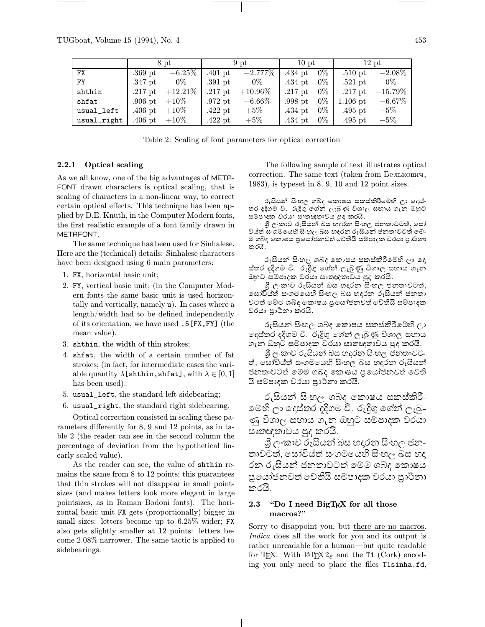|             |           | 8 pt       |           | 9 pt       | $10$ pt   |       | $12$ pt    |            |
|-------------|-----------|------------|-----------|------------|-----------|-------|------------|------------|
| FX          | $.369$ pt | $+6.25\%$  | $.401$ pt | $+2.777\%$ | $.434$ pt | $0\%$ | $.510$ pt  | $-2.08\%$  |
| <b>FY</b>   | $.347$ pt | $0\%$      | $.391$ pt | $0\%$      | $.434$ pt | $0\%$ | $.521$ pt  | $0\%$      |
| shthin      | $.217$ pt | $+12.21\%$ | $.217$ pt | $+10.96\%$ | $.217$ pt | $0\%$ | $.217$ pt  | $-15.79\%$ |
| shfat       | $.906$ pt | $+10\%$    | $.972$ pt | $+6.66\%$  | $.998$ pt | $0\%$ | $1.106$ pt | $-6.67\%$  |
| usual_left  | $.406$ pt | $+10\%$    | $.422$ pt | $+5\%$     | $.434$ pt | $0\%$ | $.495$ pt  | $-5\%$     |
| usual_right | $.406$ pt | $+10\%$    | $.422$ pt | $+5\%$     | $.434$ pt | $0\%$ | $.495$ pt  | $-5\%$     |

Table 2: Scaling of font parameters for optical correction

### 2.2.1 Optical scaling

As we all know, one of the big advantages of META-FONT drawn characters is optical scaling, that is scaling of characters in a non-linear way, to correct certain optical effects. This technique has been applied by D.E. Knuth, in the Computer Modern fonts, the first realistic example of a font family drawn in METAFONT.

The same technique has been used for Sinhalese. Here are the (technical) details: Sinhalese characters have been designed using 6 main parameters:

- 1. FX, horizontal basic unit;
- 2. FY, vertical basic unit; (in the Computer Modern fonts the same basic unit is used horizontally and vertically, namely u). In cases where a length/width had to be defined independently of its orientation, we have used .5[FX,FY] (the mean value).
- 3. shthin, the width of thin strokes;
- 4. shfat, the width of a certain number of fat strokes; (in fact, for intermediate cases the variable quantity  $\lambda$ [shthin,shfat], with  $\lambda \in [0,1]$ has been used).
- 5. usual\_left, the standard left sidebearing;
- 6. usual\_right, the standard right sidebearing.

Optical correction consisted in scaling these parameters differently for 8, 9 and 12 points, as in table 2 (the reader can see in the second column the percentage of deviation from the hypothetical linearly scaled value).

As the reader can see, the value of shthin remains the same from 8 to 12 points; this guarantees that thin strokes will not disappear in small pointsizes (and makes letters look more elegant in large pointsizes, as in Roman Bodoni fonts). The horizontal basic unit FX gets (proportionally) bigger in small sizes: letters become up to 6.25% wider; FX also gets slightly smaller at 12 points: letters become 2.08% narrower. The same tactic is applied to sidebearings.

The following sample of text illustrates optical correction. The same text (taken from  $B$ елькович, 1983), is typeset in 8, 9, 10 and 12 point sizes.

රුසියන් සිංහල ශබ්ද කොෂය සකස්කිරීමෙහි ලා දෙස්-තර දදිගම වි. රුදිගු ගේන් ලැබුණු විශාල සහාය ගැන ඔහුට සම්පාදක වරයා සෘතඥතාවය පුද කරයි.

 $\hat{\mathcal{G}}$  ලංකාව රුසියන් බස හදුරන සිංහල ජනතාවටත්, සෝ විය්ත් ස•ගමයෙහි සි•හල බස හදුරන රුසියන් ජනතාවටත් මේ-ම ශබ්ද කොෂය පුයෝජනවත් වේතියි සම්පාදක වරයා පාථිනා කරයි.

රුසියන් සිංහල ශබ්ද කොෂය සකස්කිරීමෙහි ලා දෙ ස්තර දදිගම වි. රුදිගු ගේන් ලැබුණු විශාල සහාය ගැන ඔහුට සම්පාදක වරයා සෘතඥතාවය පුද කරයි.

 $\mathcal{\mathcal{G}}$  ලංකාව රුසියන් බස හදුරන සිංහල ජනතාවටත්, සෝවිය්ත් සංගමයෙහි සිංහල බස හදරන රුසියන් ජනතා වටත් මෙම ශබ්ද කොෂය පුයෝජනවත් වේතියි සම්පාදක වරයා පාථිනා කරයි.

රුසියන් සිංහල ශබද කොෂය සකස්කිරීමෙහි ලා දෙස්තර දදිගම වි. රුදිගු ගේන් ලැබුණු විශාල සහාය ගැන ඔහුට සම්පාදක වරයා සෘතඥතාවය පුද කරයි.

ශී ල·කාව රුසියන් බස හදුරන සිංහල ජිනතාවට-ත්, සෝවිය්ත් සංගමයෙහි සිංහල බස හදුරන රුසියන් ජනතාවටත් මෙම ශබ්ද කොෂය පුයෝජනවත් වේති යි සම්පාදක වරයා පුාථිනා කරයි.

රුසියන් සිංහල ශබද කොෂය සකස්කිරී– මෙහි ලා දෙස්තර දදිගම වි. රුදිගු ගේත් ලැබු-ණු විශාල සහාය ගැන ඔහුට සමපාදක වරයා ඍතඥතාවය පුද කරයි.

 $\mathcal{G}_{\mathbb{C}}$ ංකාව රුසියන් බස හදරන සිංහල ජන-තාවටත්, සෝවිය්ත් සංගමයෙහි සිංහල බිස හදු රන රුසියන් ජනතාවටත් මෙම ශබ්ද කොෂය පුයෝජනවත් වෙතියි සමපාදක වරයා පුාථිනා කරයි.

# 2.3 "Do I need BigTEX for all those macros?"

Sorry to disappoint you, but there are no macros. Indica does all the work for you and its output is rather unreadable for a human—but quite readable for T<sub>E</sub>X. With L<sup>A</sup>T<sub>E</sub>X 2<sub> $\varepsilon$ </sub> and the T1 (Cork) encoding you only need to place the files T1sinha.fd,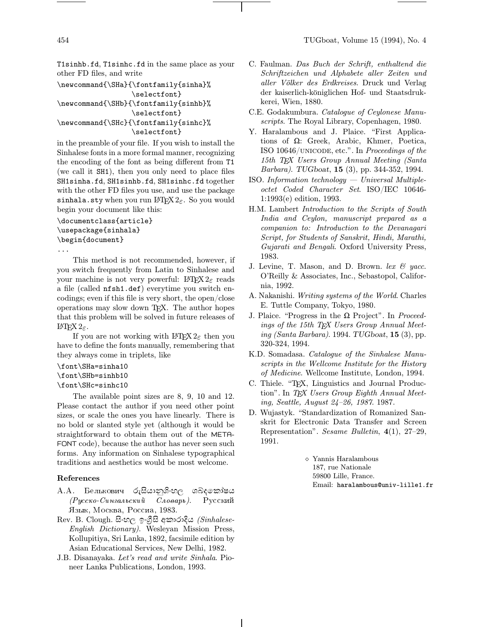T1sinhb.fd, T1sinhc.fd in the same place as your other FD files, and write

\newcommand{\SHa}{\fontfamily{sinha}% \selectfont} \newcommand{\SHb}{\fontfamily{sinhb}% \selectfont} \newcommand{\SHc}{\fontfamily{sinhc}%

\selectfont}

in the preamble of your file. If you wish to install the Sinhalese fonts in a more formal manner, recognizing the encoding of the font as being different from T1 (we call it SH1), then you only need to place files SH1sinha.fd, SH1sinhb.fd, SH1sinhc.fd together with the other FD files you use, and use the package sinhala.sty when you run  $\mathbb{F} \mathbb{F} X2_{\varepsilon}$ . So you would begin your document like this:

# \documentclass{article} \usepackage{sinhala} \begin{document}

...

This method is not recommended, however, if you switch frequently from Latin to Sinhalese and your machine is not very powerful: LAT<sub>E</sub>X  $2\varepsilon$  reads a file (called nfsh1.def) everytime you switch encodings; even if this file is very short, the open/close operations may slow down TEX. The author hopes that this problem will be solved in future releases of L<sup>A</sup>TEX 2ε.

If you are not working with  $\angle MFX2_{\epsilon}$  then you have to define the fonts manually, remembering that they always come in triplets, like

```
\font\SHa=sinha10
```

```
\font\SHb=sinhb10
```

```
\font\SHc=sinhc10
```
The available point sizes are 8, 9, 10 and 12. Please contact the author if you need other point sizes, or scale the ones you have linearly. There is no bold or slanted style yet (although it would be straightforward to obtain them out of the META-FONT code), because the author has never seen such forms. Any information on Sinhalese typographical traditions and aesthetics would be most welcome.

## References

- $A.A.$  $\,$ Белькович රුසියානුශී $\cdot$ හල ශබ්දකෝෂය  $(Pyccko-Cunzaabc**ku**ŭ  $\overline{C}aoaapb$ ). Русский$ Язык, Москва, Россиа, 1983.
- $Rev.$  B. Clough. සිංහල ඉංගීසි අකාරාදිය *(Sinhalese-*English Dictionary). Wesleyan Mission Press, Kollupitiya, Sri Lanka, 1892, facsimile edition by Asian Educational Services, New Delhi, 1982.
- J.B. Disanayaka. Let's read and write Sinhala. Pioneer Lanka Publications, London, 1993.
- C. Faulman. Das Buch der Schrift, enthaltend die Schriftzeichen und Alphabete aller Zeiten und aller Völker des Erdkreises. Druck und Verlag der kaiserlich-königlichen Hof- und Staatsdrukkerei, Wien, 1880.
- C.E. Godakumbura. Catalogue of Ceylonese Manuscripts. The Royal Library, Copenhagen, 1980.
- Y. Haralambous and J. Plaice. "First Applications of Ω: Greek, Arabic, Khmer, Poetica, ISO 10646/unicode, etc.". In Proceedings of the 15th TEX Users Group Annual Meeting (Santa Barbara). TUGboat, 15 (3), pp. 344-352, 1994.
- $ISO.$  Information technology  $-$  Universal Multipleoctet Coded Character Set. ISO/IEC 10646- 1:1993(e) edition, 1993.
- H.M. Lambert Introduction to the Scripts of South India and Ceylon, manuscript prepared as a companion to: Introduction to the Devanagari Script, for Students of Sanskrit, Hindi, Marathi, Gujarati and Bengali. Oxford University Press, 1983.
- J. Levine, T. Mason, and D. Brown. lex  $\mathcal{C}$  yacc. O'Reilly & Associates, Inc., Sebastopol, California, 1992.
- A. Nakanishi. Writing systems of the World. Charles E. Tuttle Company, Tokyo, 1980.
- J. Plaice. "Progress in the  $\Omega$  Project". In Proceedings of the 15th TEX Users Group Annual Meeting (Santa Barbara). 1994. TUGboat,  $15(3)$ , pp. 320-324, 1994.
- K.D. Somadasa. Catalogue of the Sinhalese Manuscripts in the Wellcome Institute for the History of Medicine. Wellcome Institute, London, 1994.
- C. Thiele. "TEX, Linguistics and Journal Production". In TFX Users Group Eighth Annual Meeting, Seattle, August 24–26, 1987. 1987.
- D. Wujastyk. "Standardization of Romanized Sanskrit for Electronic Data Transfer and Screen Representation". Sesame Bulletin, 4(1), 27–29, 1991.

<sup>⋄</sup> Yannis Haralambous 187, rue Nationale 59800 Lille, France. Email: haralambous@univ-lille1.fr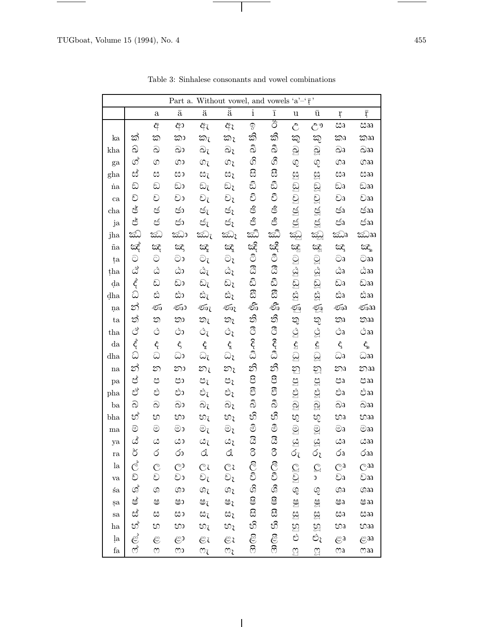$\frac{1}{\sqrt{2\pi}}\left( \frac{1}{\sqrt{2\pi}}\right) ^{2}=\frac{1}{2\sqrt{2\pi}}\left( \frac{1}{\sqrt{2\pi}}\right) ^{2}=\frac{1}{2\sqrt{2\pi}}\left( \frac{1}{2\sqrt{2\pi}}\right) ^{2}=\frac{1}{2\sqrt{2\pi}}\left( \frac{1}{2\sqrt{2\pi}}\right) ^{2}=\frac{1}{2\sqrt{2\pi}}\left( \frac{1}{2\sqrt{2\pi}}\right) ^{2}=\frac{1}{2\sqrt{2\pi}}\left( \frac{1}{2\sqrt{2\pi}}\right) ^{2}=\frac{1}{2\$ 

|                     | Part a. Without vowel, and vowels 'a'-' $\bar{r}$ ' |                                                                                                         |                    |                          |                               |              |                         |                    |                      |                           |                           |  |
|---------------------|-----------------------------------------------------|---------------------------------------------------------------------------------------------------------|--------------------|--------------------------|-------------------------------|--------------|-------------------------|--------------------|----------------------|---------------------------|---------------------------|--|
|                     |                                                     | $\mathbf{a}$                                                                                            | $\bar{\mathrm{a}}$ | ä                        | $\bar{a}$                     | $\mathbf{i}$ | $\overline{\mathbf{1}}$ | u                  | ū                    | ŗ                         | $\overline{\mathrm{r}}$   |  |
|                     |                                                     | අ                                                                                                       | ආ                  | ඇ                        | ඇ                             | ඉ            | රී                      | Ĉ                  | $\mathcal{C}^9$      | සෘ                        | csaa                      |  |
| ka                  | ක්                                                  | ක                                                                                                       | කා                 | කැ                       | කැ                            | කි           | කී                      | කු                 | කු                   | කෘ                        | කෲ                        |  |
| kha                 | ඛ                                                   | ඛ                                                                                                       | ධා                 | බැ                       | බැ                            | వి           | ವಿ                      | <u>බූ</u>          | <u>ු</u>             | බෘ                        | $\widehat{\infty}$ aa     |  |
| ga                  | ග්                                                  | $\circledcirc$                                                                                          | ගා                 | ගැ                       | ගැ                            | ගී           | ගී                      | Q                  | Q                    | ගa                        | ගaa                       |  |
| gha                 | ස්                                                  | ස                                                                                                       | සා                 | සැ                       | සිරි                          | සි           | සි                      | ಟ                  | ĝ3                   | සෙ                        | csaa                      |  |
| ia                  | ඩි                                                  | ඩ                                                                                                       | ඩා                 | ඩැ                       | ඩැ                            | ඩි           | ඩී                      | ඩු                 | වූ                   | ඩෘ                        | ඩෲ                        |  |
| ca                  | වි                                                  | ව                                                                                                       | වා                 | $\odot_{\zeta}$          | $\odot$                       | වි           | ථි                      | වු                 | වූ                   | වෘ                        | වෲ                        |  |
| cha                 | ජ්                                                  | ජ                                                                                                       | ජා                 | ජැ                       | ජැ                            | ජි           | ෂී                      | ජු                 | ජූ                   | ජෘ                        | ඡෲ                        |  |
| ja                  | ජ්                                                  | ජ                                                                                                       | ජා                 | ජ්ැ                      | ජ්ැ                           | ජි           | ජී                      | ජු                 | ජූ                   | ජිෘ                       | ජෲ                        |  |
| jha                 | ಮ                                                   | ඣ                                                                                                       | ඣා                 | කි $\rm \overline{a}$    | ඣෑ                            | ඣ            | ඣ                       | <u>කි</u>          | ಜ್ಞು                 | ඣෘ                        | ඣෲ                        |  |
| $\  {\bf a}$        | ඤ්                                                  | සි                                                                                                      | ඤ                  | Œ                        | Œ                             | ඤි           | ඤ්                      | සි                 | කූ                   | Œζ                        | ದ್ದಾ                      |  |
| ța                  | $\odot$                                             | $\odot$                                                                                                 | වා                 | $\odot_{\zeta}$          | වැ                            | ී            | ී                       | <u>ු</u>           | g                    | $\odot$ a                 | aa                        |  |
| tha                 | $\mathcal{C}_{\varphi}$                             | $\mathcal{Q}$                                                                                           | ದಿ                 | ඨැ                       | ඨැ                            | ඨි           | යී                      | $\mathcal{Q}$      | $\mathfrak{Q}$       | ವಿಾ                       | ವಿaa                      |  |
| da                  | $\vec{\xi}$                                         | ඩ                                                                                                       | ඩා                 | ඩැ                       | ඩැ                            | ඨි           | ඨි                      | ඩු                 | ඩූ                   | ඩෘ                        | ඩෲ                        |  |
| dha                 | ධ                                                   | ಬಿ                                                                                                      | ඪා                 | සැ                       | ස්ැ                           | සී           | සී                      | 32                 | $\mathbb{S}^{\circ}$ | ದಿತಿ                      | ಬಿaa                      |  |
| ņa                  | න්                                                  | ණ                                                                                                       | ණා                 | ණැ                       | ණැ                            | ≤ో           | €5                      | ☜                  | Ş                    | ණෘ                        | Gaa                       |  |
| ta                  | ත්                                                  | ත                                                                                                       | තා                 | තැ                       | තැ                            | ති           | තී                      | තු                 | තු                   | Юa                        | $\infty$ aa               |  |
| tha                 | එ                                                   | $\circlearrowleft$                                                                                      | ථා                 | ڻ                        | ථැ                            | ී            | ී                       | $\mathcal{Q}$      | $\mathcal{Q}$        | ٩ð                        | <b>്</b> aa               |  |
| $d$ a               | $\zeta$                                             | $\hat{\varsigma}$                                                                                       | $\hat{\varsigma}$  | $\hat{\zeta}$            | $\mathbf{\hat{\zeta}}$        | ನಿ           | දී                      | $\mathbf{\hat{S}}$ | $\mathbf{\hat{G}}$   | $\hat{\varsigma}$         | $\hat{\varsigma}_{\rm a}$ |  |
| dha                 | ධ                                                   | ධ                                                                                                       | ධා                 | ධැ                       | ධෑ                            |              |                         | $\Omega$           | <u>ୁ</u>             | ධෘ                        | ධෲ                        |  |
| na                  | න්                                                  | න                                                                                                       | නා                 | $\overline{\mathcal{D}}$ | නැ                            | නි           | නී                      | ဤ                  | D                    | $\Sigma$                  | 20a                       |  |
| pa                  | ප්                                                  | ප                                                                                                       | පා                 | පැ                       | පැ                            | පි           | පි                      | පු                 | පූ                   | පෘ                        | පෲ                        |  |
| pha                 | ಲಿ                                                  | లి                                                                                                      | ඵා                 | ඵැ                       | ඵැ                            | පී           | පී                      | <u>පු</u>          | S                    | ಲಿಕಿ                      | ಲಿaa                      |  |
| ba                  | බ                                                   | බ                                                                                                       | බා                 | බැ                       | බැ                            | ని           | ನಿ                      | බු                 | බූ                   | බෘ                        | බෲ                        |  |
| bha                 | හ්                                                  | හ                                                                                                       | භා                 | හැ                       | හැ                            | හී           | හී                      | හු                 | හු                   | භෘ                        | භaa                       |  |
| ma                  | ම                                                   | $\circledcirc$                                                                                          | මා                 | $\odot_{\zeta}$          | $\circledcirc_{\mathfrak{z}}$ | මි           | මී                      | <u>ු</u>           | $\mathcal{S}$        | ම $\mathfrak{g}$          | මෲ                        |  |
| ya                  | ය්                                                  | $\omega$                                                                                                | යා                 | œι                       | යැ                            | යි           | යි                      | $\mathfrak{S}$     | ್ಷ                   | Ba                        | csaa                      |  |
| ra                  | ర                                                   | Q                                                                                                       | රා                 | d                        | Q                             | $\infty$     | $\delta$                | Óι                 | Óι                   | бa                        | бaa                       |  |
| la                  | ල්                                                  | $\overline{\mathcal{C}}$                                                                                | ලා                 | $\mathcal{C}$            | Ēί                            | ලි           | ලී                      | $\mathcal{C}$      | $\mathbb{C}$         | $\mathbb{C}^{\mathsf{a}}$ | Caa                       |  |
| va                  | වි                                                  | ව                                                                                                       | වා                 | වැ                       | වැ                            | ථි           |                         | වු                 | $\mathfrak{c}$       | වෘ                        | වෲ                        |  |
| śa                  | Z                                                   | $\mathbb{G}$                                                                                            | အေ                 | ශැ                       | ශැ                            | ශී           | ශී                      | G)                 | G)                   | Gaa                       | Gaa                       |  |
| şa                  | ෂ්                                                  | ෂ                                                                                                       | ෂා                 | ෂැ                       | ෂැ                            | ෂි           | ෂී                      | ජු                 | Š                    | ෂෘ                        | ෂෲ                        |  |
| sa                  | ස්                                                  | ස                                                                                                       | සා                 | සැ                       | සැ                            | සි           | සී                      | ğ                  | <u>සු</u>            | ೞ                         | coaa                      |  |
| ha                  | හ්                                                  | හ                                                                                                       | හා                 | හැ                       | හැ                            | හි           | හී                      | හු                 | හූ                   | හෘ                        | හෲ                        |  |
| ļa                  | $\mathfrak{E}$                                      | $\mathfrak{S}% _{T}=\mathfrak{S}_{T}\!\left( a,b\right) ,\ \mathfrak{S}_{T}=C_{T}\!\left( a,b\right) ,$ | ළා                 | Ëι                       | Ëι                            | ළි           | ළී                      | ಲಿ                 | ඵැ                   | $\varepsilon$ a           | Gaa                       |  |
| $\operatorname{fa}$ | ઌ                                                   | $\omega$                                                                                                | ლ                  | $\mathfrak{O}_\zeta$     | ო                             | හි           | ෆී                      | $\mathfrak{A}$     | $\mathbb{S}$         | $\infty$                  | maa                       |  |

 $\overline{\phantom{a}}$ 

Table 3: Sinhalese consonants and vowel combinations

 $\mathbf{I}$ 

e e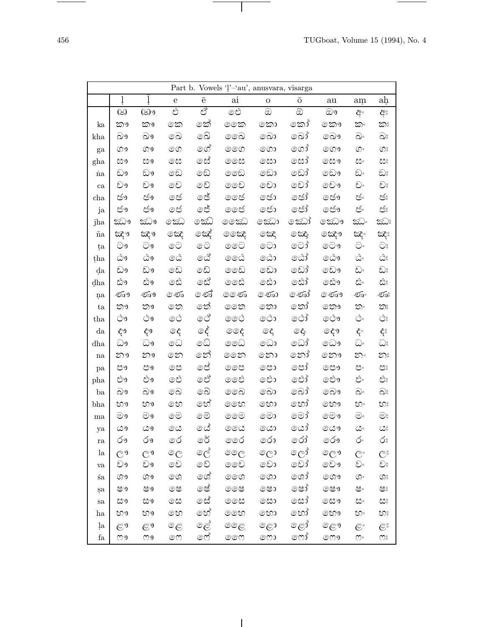$\overline{\phantom{a}}$ 

| Part b. Vowels 'l'-'au', anusvara, visarga |          |                     |                |               |        |                  |                 |            |                           |                         |  |  |
|--------------------------------------------|----------|---------------------|----------------|---------------|--------|------------------|-----------------|------------|---------------------------|-------------------------|--|--|
|                                            | ļ        | ļ                   | $\mathbf e$    | $\rm \bar{e}$ | ai     | $\mathbf O$      | $\overline{O}$  | ${\rm au}$ | am                        | ah                      |  |  |
|                                            | $\omega$ | ශා                  | එ              | ಲೈ            | ඓ      | $\circledcirc$   | ඔ               | ඖ          | අ                         | අ                       |  |  |
| ka                                         | කෟ       | කෟ                  | කෙ             | කේ            | ෛක     | කො               | කෝ              | කෞ         | ත                         | කාඃ                     |  |  |
| kha                                        | බෟ       | බෟ                  | බෙ             | බෙ            | ෛබ     | බො               | බෝ              | බෞ         | බං                        | වං                      |  |  |
| ga                                         | ගෟ       | တ္မွ                | ගෙ             | ගේ            | ෧෨     | ගො               | ගෝ              | ගෞ         | $\circledcirc$            | $\mathbb{O}^{\circ}$    |  |  |
| gha                                        | සෞ       | සෟ                  | ෙස             | ගස්           | ෛස     | ⊚සා              | ©සා්            | ©සෟ        | ದಿಂ                       | ස                       |  |  |
| $\dot{\rm na}$                             | ඩෟ       | ඩෟ                  | ඩෙ             | ඬෙ            | ෛව     | ෩                | ඩෝ              | වෞ         | ඩ.                        | වං                      |  |  |
| ca                                         | චෟ       | වඉ                  | චෙ             | වෙ            | ෛව     | වො               | වෝ              | වො         | වං                        | වං                      |  |  |
| $_{\rm cha}$                               | ජෟ       | ජඉ                  | ල ජ            | ෙජ්           | ෛජ     | ෞර               | ලජා්            | ⊚ජෟ        | తం                        | ජං                      |  |  |
| ja                                         | ජෟ       | ජෟ                  | ල ජ            | ෙජ්           | ෛජ     | ඐර               | ලජා්            | ෞ          | తి                        | ජ්                      |  |  |
| jha                                        | ඣෟ       | ඣෳ                  | කෙ             | කෙ            | තෙක    | කො               | කෝ              | කො         | ඣ                         | ඣಃ                      |  |  |
| $\tilde{\text{na}}$                        | ಜ್ಞಾ     | සැං                 | කෙ             | ශේ            | ෙස     | කෙ               | ුක              | කියු       | ಜ್                        | ಜ್ಞಾ                    |  |  |
| ța                                         | වෟ       | ಿ                   | ෙ              | ෙ $\odot$     | ෛ      | ⊚ටා              | ⊙ටා්            | ⊚ටෟ        | ට.                        | $\widehat{\bigcirc}$    |  |  |
| tha                                        | ದಿ೨      | ದಿ9                 | 0ඨ             | ශ්            | ෛ      | ඨො               | රෝ              | ේෟ         | ೊ                         | ದಿಃ                     |  |  |
| da                                         | ඩෟ       | ඩඉ                  | ඩෙ             | ඩෙ            | ෛඩ     | ඩො               | ඩෝ              | වෞ         | ඩං                        | ඩඃ                      |  |  |
| dha                                        | ඪෟ       | ಬಿಇ                 | සෙ             | ್ದಿ           | ෛඪ     | ෯                | සෝ              | ෯ෟ         | ಬಿ                        | ಬಿ                      |  |  |
| na                                         | ৰ্তত।    | ৰ্তত∮               | ිණි            | ලණ්           | ⊚ලණ    | ෙණා              | ⊚ණා්            | මණිා       | ණ∘                        | ණඃ                      |  |  |
| ta                                         | තෟ       | තෟ                  | තෙ             | තේ            | ෛත     | ෩                | තෝ              | නෞ         | ත.                        | නඃ                      |  |  |
| tha                                        | ಲಿ೨      | ೨೪                  | ේ              | ේ             | ෛ      | ථො               | ⊚ථා්            | ෞ          | ى                         | ಲೀ                      |  |  |
| da                                         | දි       | $\hat{\varsigma}$ 9 | ි ද            | දේ            | ම්විද් | ිරි              | $\hat{\varphi}$ | ල දෟ       | දි∘                       | දී                      |  |  |
| dha                                        | ධෟ       | ධෟ                  | ධෙ             | බෙ            | ෛධ     | බො               | බෝ              | බෞ         | ධං                        | ධඃ                      |  |  |
| na                                         | නෟ       | නෟ                  | $\circ \infty$ | තේ            | ෛත     | තො               | තෝ              | නෞ         | $\infty$                  | න                       |  |  |
| pa                                         | පෟ       | පෳ                  | ෙප             | ඓ             | ෛ      | පො               | ලපා්            | ෞ          | පං                        | පඃ                      |  |  |
| pha                                        | ඵෟ       | ಲಿ9                 | ඓ              | ඓ             | ෛ      | ඓා               | ෞ්              | ඓෟ         | ಲಿ                        | ಲಿಃ                     |  |  |
| ba                                         | වෟ       | බෟ                  | බෙ             | බෙ            | ෛබ     | බො               | බෝ              | බෞ         | ನಿ                        | ည္ပဲ                    |  |  |
| bha                                        | භෞ       | ಉ                   | හෙ             | භේ            | ෛහ     | භො               | භෝ              | ඐ          | භ                         | භඃ                      |  |  |
| ma                                         | මෟ       | මඉ                  | මෙ             | මෙ            | ෧෧     | මො               | මෝ              | මෞ         | $\circledcirc$ .          | $\bigcirc$              |  |  |
| ya                                         | යෟ       | යෟ                  | ගය             | යේ            | ෛය     | යො               | ගෝ              | ගයා        | ೊ                         | $\mathcal{C}^{\circ}$   |  |  |
| ra                                         | රෟ       | ÓД                  | රෙ             | ්ර            | ෛර     | රො               | රෝ              | රෞ         | රං                        | රඃ                      |  |  |
| la                                         | ಿ        | ಄                   | $^{\circ}$ C   | ලේ            | මෙල    | $\mathbb{C}^{3}$ | ලෝ              | ලලා        | $\mathbb{C}^{\circ}$      | $\mathbb{C}^{\circ}$    |  |  |
| va                                         | වෟ       | වඉ                  | වෙ             | වෙ            | ෛව     | වො               | වෝ              | වො         | $\widehat{\mathcal{O}}$ . | $\widehat{\mathcal{C}}$ |  |  |
| $\pm a$                                    | ශෟ       | ශෳ                  | ගෙ             | ගේ            | ෧෧෬    | ගො               | ගෝ              | ගෞ         | $\mathbb{G}^{\circ}$      | $\mathbb{G}^\circ$      |  |  |
| sa                                         | ෂෟ       | ෂෟ                  | ම              | මේ            | ෛ      | ෩                | ල ෂා            | මසා        | ෂ                         | පි                      |  |  |
| sa                                         | සෟ       | ೞಿ                  | සෙ             | ෙස්           | ෛස     | ෩                | ©සා්            | ලසෟ        | ಜಿ                        | සಿ                      |  |  |
| ha                                         | හ        | ಉ                   | හෙ             | හේ            | ෛහ     | හො               | හෝ              | හෞ         | හ                         | හ                       |  |  |
| ļa                                         | ළෟ       | ළෳ                  | ලෙ             | ළේ            | ෛළ     | ළො               | ළෝ              | ළෞ         | $\mathfrak{S}^{\circ}$    | $\mathfrak{S}^{\circ}$  |  |  |
| fa                                         | ლ        | ოა                  | $\circledcirc$ | දෙ            | ಄಄     | ෩                | ලොා             | ෨ෟ         | $\infty$                  | $\omega^{\circ}$        |  |  |

 $\overline{\phantom{a}}$ 

 $\overline{\phantom{a}}$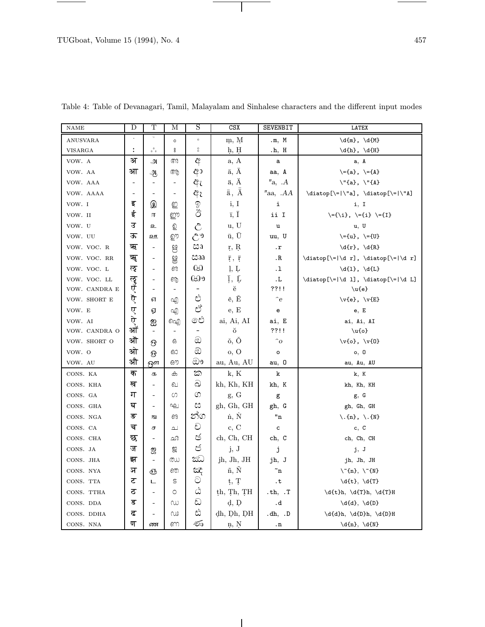$\sim$   $\sim$   $\sim$ 

| <b>NAME</b>    | D                        | Т                                             | М                        | S                        | CSX                      | <b>SEVENBIT</b>       | <b>LATEX</b>                                              |
|----------------|--------------------------|-----------------------------------------------|--------------------------|--------------------------|--------------------------|-----------------------|-----------------------------------------------------------|
| ANUSVARA       |                          |                                               | $\circ$                  | $\circ$                  | m, M                     | .m, M                 | $\d{m}, \d{M}$                                            |
| <b>VISARGA</b> | ÷                        | $\begin{smallmatrix} &0\0&0\end{smallmatrix}$ | °                        | $_{\rm o}^{\rm o}$       | h, H                     | .h, H                 | $\d{h}, \d{H}$                                            |
| VOW. A         | अ                        | அ                                             | അ                        | අ                        | a, A                     | a                     | a, A                                                      |
| VOW. AA        | आ                        | ஆ                                             | ആ                        | ආ                        | $\bar{a}$ , A            | aa, A                 | $\setminus = \{a\}, \setminus = \{A\}$                    |
| VOW. AAA       | $\overline{\phantom{a}}$ | $\blacksquare$                                | $\overline{\phantom{a}}$ | ඇ                        | ä, A                     | "a, A                 | $\Upsilon$ '{a}, $\Upsilon$ '{A}                          |
| VOW. AAAA      | ٠                        | $\blacksquare$                                | $\overline{a}$           | ඇ                        | $\bar{a}$ , $\ddot{A}$   | ″aa, .AA              | $\datatop[\{- \"a], \dataop[\{- \"A\}$                    |
| VOW. I         | इ                        | இ                                             | ഇ                        | $\mathbb{Q}$             | i, I                     | i                     | i, I                                                      |
| VOW. II        | ई                        | 厈                                             | ஹு                       | රී                       | $\bar{1}, \bar{I}$       | ii I                  | \={\i}, \={i} \={I}                                       |
| VOW. U         | ਤ                        | உ                                             | ഉ                        | $\hat{C}$                | u, U                     | u                     | u, U                                                      |
| VOW. UU        | ऊ                        | ஊ                                             | ഊ                        | $\mathcal{C}^9$          | $\bar{u}$ , U            | uu, U                 | $\{-\{u\}, \ \{-\{U\}\}\$                                 |
| VOW. VOC. R    | ऋ                        | $\blacksquare$                                | ಆ                        | ඎ                        | r, R                     | $\cdot$ r             | $\dfr}, \ddot{R}$                                         |
| VOW. VOC. RR   | ॠ                        | $\overline{\phantom{a}}$                      | 8                        | ඎ                        | $\bar{r}$ , $\bar{r}$    | .R                    | $\label{thm:main} $$\diatop[\\= \d r], \diatop[\\= \d r]$ |
| VOW. VOC. L    | ऌ                        | $\blacksquare$                                | ഌ                        | 69                       | $\mathbf{l}, \mathbf{L}$ | .1                    | $\d{1}, \d{L}$                                            |
| VOW. VOC. LL   | लुर                      | $\overline{\phantom{a}}$                      | ൡ                        | භා                       | Ī, Ļ                     | .L                    | $\datatop[\{- \d 1], \dataop[\{- \d L]}$                  |
| VOW. CANDRA E  |                          | ٠                                             | $\overline{\phantom{a}}$ | $\overline{\phantom{0}}$ | ĕ                        | ??!!                  | $\u{e}$                                                   |
| VOW. SHORT E   | ऎ                        | 61                                            | എ                        | ಲಿ                       | ě, Ě                     | $\hat{e}$             | $\forall \{e\}, \forall \{E\}$                            |
| VOW. E         | ए                        | ஏ                                             | എ                        | ಲಿ                       | e, E                     | е                     | e, E                                                      |
| VOW. AI        | ऐ                        | ஐ                                             | ഐ                        | ඓ                        | ai, Ai, AI               | ai, E                 | ai, Ai, AI                                                |
| VOW. CANDRA O  | आ                        | $\overline{\phantom{a}}$                      | $\blacksquare$           | $\overline{\phantom{a}}$ | ŏ                        | ??!!                  | $\u{o}$                                                   |
| VOW. SHORT O   | ऒ                        | ဨ                                             | 63                       | $\circledcirc$           | ŏ, Ŏ                     | $\hat{\phantom{a}}$   | $\forall v$ {o}, $\forall v$ {0}                          |
| VOW. O         | ओ                        | ନ୍ତ                                           | ഓ                        | ඔ                        | o, O                     | $\mathsf{o}$          | o, 0                                                      |
| VOW. AU        | औ                        | ஔ                                             | ഔ                        | ೞಿ೨                      | au, Au, AU               | au, 0                 | au, Au, AU                                                |
| CONS. KA       | क                        | க                                             | ക                        | ක                        | k, K                     | k                     | k, K                                                      |
| CONS. KHA      | ख                        | $\blacksquare$                                | ഖ                        | ದಿ                       | kh, Kh, KH               | kh, K                 | kh, Kh, KH                                                |
| CONS. GA       | ग                        | $\blacksquare$                                | ω                        | ග                        | g, G                     | g                     | g, G                                                      |
| CONS. GHA      | घ                        | L.                                            | ഘ                        | ಜಿ                       | gh, Gh, GH               | gh, G                 | gh, Gh, GH                                                |
| CONS. NGA      | ङ                        | 151                                           | ങ                        | න්ග                      | n, N                     | "n                    | $\setminus$ . {n}, $\setminus$ . {N}                      |
| CONS. CA       | च                        | ச                                             | ച                        | ච                        | c, C                     | c                     | c, c                                                      |
| CONS. CHA      | छ                        | $\overline{\phantom{a}}$                      | ഛ                        | ජ                        | ch, Ch, CH               | ch, C                 | ch, Ch, CH                                                |
| CONS. JA       | ज                        | 2                                             | ஜ                        | ජ                        | j, J                     | j                     | j, J                                                      |
| CONS. JHA      | झ                        | $\overline{\phantom{a}}$                      | ഝ                        | ඣ                        | jh, Jh, JH               | jh, J                 | jh, Jh, JH                                                |
| CONS. NYA      | ञ                        | ஞ                                             | ഞ                        | ΂                        | ñ, Ñ                     | $\tilde{\ }$ n        | $\\{T_n}, \ \T \{N\}$                                     |
| CONS. TTA      | ट                        | ட                                             | S                        | $\odot$                  | ț, Ţ                     | . ${\tt t}$           | $\dft}, \ddot{\T}$                                        |
| CONS. TTHA     | ਠ                        | $\blacksquare$                                | $\circ$                  | ඨ                        | th, Th, TH               | $-th, .T$             | $\d{t}_h, \d{T}_h, \d{T}_H$                               |
| CONS. DDA      | ड                        | ÷.                                            | ω                        | ඩ                        | d, D                     | .d                    | $\d{d}, \d{D}$                                            |
| CONS. DDHA     | ढ                        | $\overline{\phantom{a}}$                      | W                        | ಬಿ                       | dh, Dh, DH               | $\cdot$ dh, $\cdot$ D | $\d{d}h, \d{D}h, \d{D}H$                                  |
| CONS. NNA      | ण                        | ண                                             | ണ                        | తు                       | n, N                     | . ${\bf n}$           | $\d{n}, \d{N}$                                            |

 $\overline{\phantom{a}}$ 

Table 4: Table of Devanagari, Tamil, Malayalam and Sinhalese characters and the different input modes

 $\top$ 

 $\overline{\phantom{0}}$ 

e.

 $\sim$